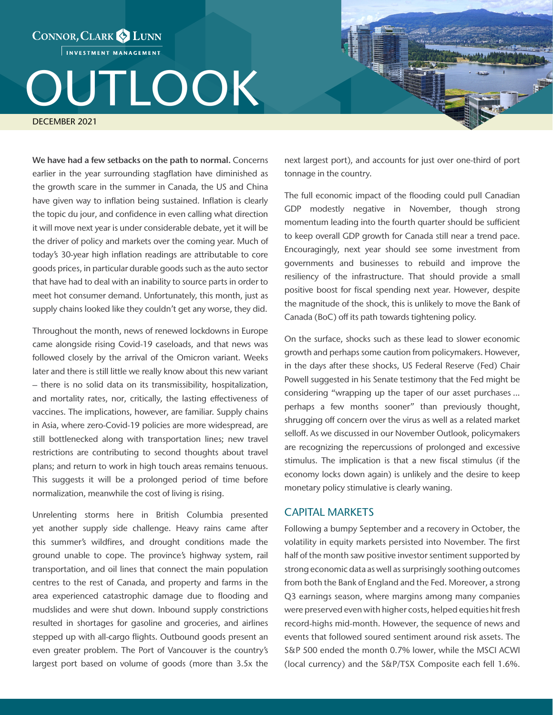CONNOR, CLARK & LUNN INVESTMENT MANAGEMENT

## OUTLOOK

DECEMBER 2021

We have had a few setbacks on the path to normal. Concerns earlier in the year surrounding stagflation have diminished as the growth scare in the summer in Canada, the US and China have given way to inflation being sustained. Inflation is clearly the topic du jour, and confidence in even calling what direction it will move next year is under considerable debate, yet it will be the driver of policy and markets over the coming year. Much of today's 30-year high inflation readings are attributable to core goods prices, in particular durable goods such as the auto sector that have had to deal with an inability to source parts in order to meet hot consumer demand. Unfortunately, this month, just as supply chains looked like they couldn't get any worse, they did.

Throughout the month, news of renewed lockdowns in Europe came alongside rising Covid-19 caseloads, and that news was followed closely by the arrival of the Omicron variant. Weeks later and there is still little we really know about this new variant – there is no solid data on its transmissibility, hospitalization, and mortality rates, nor, critically, the lasting effectiveness of vaccines. The implications, however, are familiar. Supply chains in Asia, where zero-Covid-19 policies are more widespread, are still bottlenecked along with transportation lines; new travel restrictions are contributing to second thoughts about travel plans; and return to work in high touch areas remains tenuous. This suggests it will be a prolonged period of time before normalization, meanwhile the cost of living is rising.

Unrelenting storms here in British Columbia presented yet another supply side challenge. Heavy rains came after this summer's wildfires, and drought conditions made the ground unable to cope. The province's highway system, rail transportation, and oil lines that connect the main population centres to the rest of Canada, and property and farms in the area experienced catastrophic damage due to flooding and mudslides and were shut down. Inbound supply constrictions resulted in shortages for gasoline and groceries, and airlines stepped up with all-cargo flights. Outbound goods present an even greater problem. The Port of Vancouver is the country's largest port based on volume of goods (more than 3.5x the

next largest port), and accounts for just over one-third of port tonnage in the country.

The full economic impact of the flooding could pull Canadian GDP modestly negative in November, though strong momentum leading into the fourth quarter should be sufficient to keep overall GDP growth for Canada still near a trend pace. Encouragingly, next year should see some investment from governments and businesses to rebuild and improve the resiliency of the infrastructure. That should provide a small positive boost for fiscal spending next year. However, despite the magnitude of the shock, this is unlikely to move the Bank of Canada (BoC) off its path towards tightening policy.

On the surface, shocks such as these lead to slower economic growth and perhaps some caution from policymakers. However, in the days after these shocks, US Federal Reserve (Fed) Chair Powell suggested in his Senate testimony that the Fed might be considering "wrapping up the taper of our asset purchases ... perhaps a few months sooner" than previously thought, shrugging off concern over the virus as well as a related market selloff. As we discussed in our November Outlook, policymakers are recognizing the repercussions of prolonged and excessive stimulus. The implication is that a new fiscal stimulus (if the economy locks down again) is unlikely and the desire to keep monetary policy stimulative is clearly waning.

## CAPITAL MARKETS

Following a bumpy September and a recovery in October, the volatility in equity markets persisted into November. The first half of the month saw positive investor sentiment supported by strong economic data as well as surprisingly soothing outcomes from both the Bank of England and the Fed. Moreover, a strong Q3 earnings season, where margins among many companies were preserved even with higher costs, helped equities hit fresh record-highs mid-month. However, the sequence of news and events that followed soured sentiment around risk assets. The S&P 500 ended the month 0.7% lower, while the MSCI ACWI (local currency) and the S&P/TSX Composite each fell 1.6%.